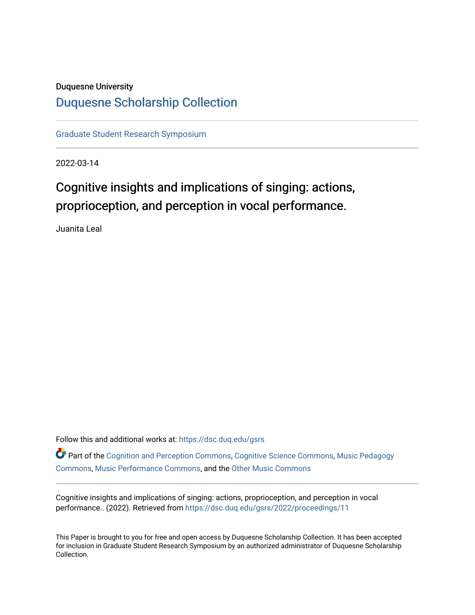## Duquesne University

## [Duquesne Scholarship Collection](https://dsc.duq.edu/)

[Graduate Student Research Symposium](https://dsc.duq.edu/gsrs)

2022-03-14

# Cognitive insights and implications of singing: actions, proprioception, and perception in vocal performance.

Juanita Leal

Follow this and additional works at: [https://dsc.duq.edu/gsrs](https://dsc.duq.edu/gsrs?utm_source=dsc.duq.edu%2Fgsrs%2F2022%2Fproceedings%2F11&utm_medium=PDF&utm_campaign=PDFCoverPages)

Part of the [Cognition and Perception Commons,](https://network.bepress.com/hgg/discipline/407?utm_source=dsc.duq.edu%2Fgsrs%2F2022%2Fproceedings%2F11&utm_medium=PDF&utm_campaign=PDFCoverPages) [Cognitive Science Commons,](https://network.bepress.com/hgg/discipline/1437?utm_source=dsc.duq.edu%2Fgsrs%2F2022%2Fproceedings%2F11&utm_medium=PDF&utm_campaign=PDFCoverPages) [Music Pedagogy](https://network.bepress.com/hgg/discipline/1129?utm_source=dsc.duq.edu%2Fgsrs%2F2022%2Fproceedings%2F11&utm_medium=PDF&utm_campaign=PDFCoverPages) [Commons](https://network.bepress.com/hgg/discipline/1129?utm_source=dsc.duq.edu%2Fgsrs%2F2022%2Fproceedings%2F11&utm_medium=PDF&utm_campaign=PDFCoverPages), [Music Performance Commons](https://network.bepress.com/hgg/discipline/1128?utm_source=dsc.duq.edu%2Fgsrs%2F2022%2Fproceedings%2F11&utm_medium=PDF&utm_campaign=PDFCoverPages), and the [Other Music Commons](https://network.bepress.com/hgg/discipline/524?utm_source=dsc.duq.edu%2Fgsrs%2F2022%2Fproceedings%2F11&utm_medium=PDF&utm_campaign=PDFCoverPages) 

Cognitive insights and implications of singing: actions, proprioception, and perception in vocal performance.. (2022). Retrieved from [https://dsc.duq.edu/gsrs/2022/proceedings/11](https://dsc.duq.edu/gsrs/2022/proceedings/11?utm_source=dsc.duq.edu%2Fgsrs%2F2022%2Fproceedings%2F11&utm_medium=PDF&utm_campaign=PDFCoverPages)

This Paper is brought to you for free and open access by Duquesne Scholarship Collection. It has been accepted for inclusion in Graduate Student Research Symposium by an authorized administrator of Duquesne Scholarship Collection.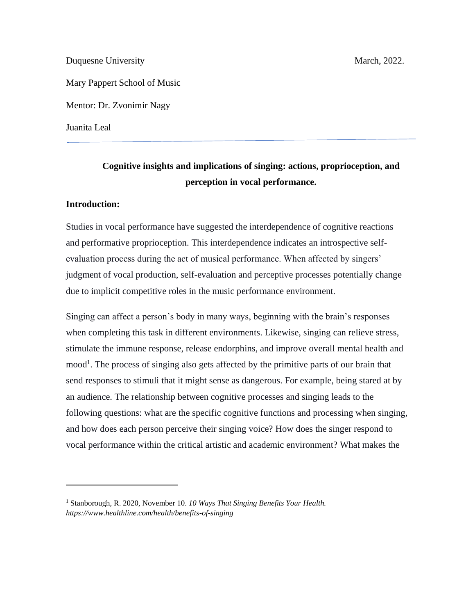Duquesne University March, 2022.

Mary Pappert School of Music

Mentor: Dr. Zvonimir Nagy

Juanita Leal

## **Cognitive insights and implications of singing: actions, proprioception, and perception in vocal performance.**

## **Introduction:**

Studies in vocal performance have suggested the interdependence of cognitive reactions and performative proprioception. This interdependence indicates an introspective selfevaluation process during the act of musical performance. When affected by singers' judgment of vocal production, self-evaluation and perceptive processes potentially change due to implicit competitive roles in the music performance environment.

Singing can affect a person's body in many ways, beginning with the brain's responses when completing this task in different environments. Likewise, singing can relieve stress, stimulate the immune response, release endorphins, and improve overall mental health and mood<sup>1</sup>. The process of singing also gets affected by the primitive parts of our brain that send responses to stimuli that it might sense as dangerous. For example, being stared at by an audience. The relationship between cognitive processes and singing leads to the following questions: what are the specific cognitive functions and processing when singing, and how does each person perceive their singing voice? How does the singer respond to vocal performance within the critical artistic and academic environment? What makes the

<sup>1</sup> Stanborough, R. 2020, November 10. *10 Ways That Singing Benefits Your Health. https://www.healthline.com/health/benefits-of-singing*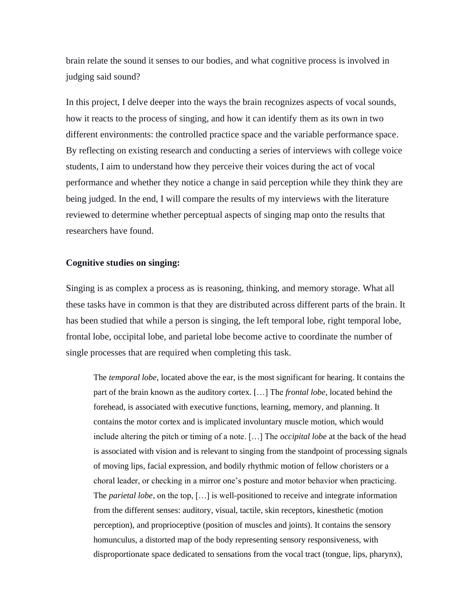brain relate the sound it senses to our bodies, and what cognitive process is involved in judging said sound?

In this project, I delve deeper into the ways the brain recognizes aspects of vocal sounds, how it reacts to the process of singing, and how it can identify them as its own in two different environments: the controlled practice space and the variable performance space. By reflecting on existing research and conducting a series of interviews with college voice students, I aim to understand how they perceive their voices during the act of vocal performance and whether they notice a change in said perception while they think they are being judged. In the end, I will compare the results of my interviews with the literature reviewed to determine whether perceptual aspects of singing map onto the results that researchers have found.

### **Cognitive studies on singing:**

Singing is as complex a process as is reasoning, thinking, and memory storage. What all these tasks have in common is that they are distributed across different parts of the brain. It has been studied that while a person is singing, the left temporal lobe, right temporal lobe, frontal lobe, occipital lobe, and parietal lobe become active to coordinate the number of single processes that are required when completing this task.

The *temporal lobe,* located above the ear, is the most significant for hearing. It contains the part of the brain known as the auditory cortex. […] The *frontal lobe*, located behind the forehead, is associated with executive functions, learning, memory, and planning. It contains the motor cortex and is implicated involuntary muscle motion, which would include altering the pitch or timing of a note. […] The *occipital lobe* at the back of the head is associated with vision and is relevant to singing from the standpoint of processing signals of moving lips, facial expression, and bodily rhythmic motion of fellow choristers or a choral leader, or checking in a mirror one's posture and motor behavior when practicing. The *parietal lobe*, on the top, […] is well-positioned to receive and integrate information from the different senses: auditory, visual, tactile, skin receptors, kinesthetic (motion perception), and proprioceptive (position of muscles and joints). It contains the sensory homunculus, a distorted map of the body representing sensory responsiveness, with disproportionate space dedicated to sensations from the vocal tract (tongue, lips, pharynx),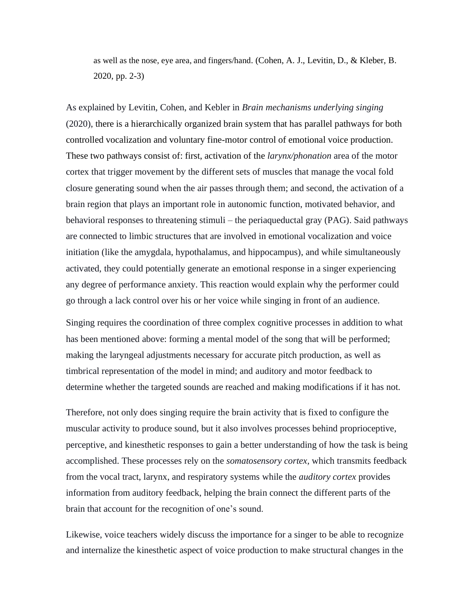as well as the nose, eye area, and fingers/hand. (Cohen, A. J., Levitin, D., & Kleber, B. 2020, pp. 2-3)

As explained by Levitin, Cohen, and Kebler in *Brain mechanisms underlying singing*  (2020), there is a hierarchically organized brain system that has parallel pathways for both controlled vocalization and voluntary fine-motor control of emotional voice production. These two pathways consist of: first, activation of the *larynx/phonation* area of the motor cortex that trigger movement by the different sets of muscles that manage the vocal fold closure generating sound when the air passes through them; and second, the activation of a brain region that plays an important role in autonomic function, motivated behavior, and behavioral responses to threatening stimuli – the periaqueductal gray (PAG). Said pathways are connected to limbic structures that are involved in emotional vocalization and voice initiation (like the amygdala, hypothalamus, and hippocampus), and while simultaneously activated, they could potentially generate an emotional response in a singer experiencing any degree of performance anxiety. This reaction would explain why the performer could go through a lack control over his or her voice while singing in front of an audience.

Singing requires the coordination of three complex cognitive processes in addition to what has been mentioned above: forming a mental model of the song that will be performed; making the laryngeal adjustments necessary for accurate pitch production, as well as timbrical representation of the model in mind; and auditory and motor feedback to determine whether the targeted sounds are reached and making modifications if it has not.

Therefore, not only does singing require the brain activity that is fixed to configure the muscular activity to produce sound, but it also involves processes behind proprioceptive, perceptive, and kinesthetic responses to gain a better understanding of how the task is being accomplished. These processes rely on the *somatosensory cortex,* which transmits feedback from the vocal tract, larynx, and respiratory systems while the *auditory cortex* provides information from auditory feedback, helping the brain connect the different parts of the brain that account for the recognition of one's sound.

Likewise, voice teachers widely discuss the importance for a singer to be able to recognize and internalize the kinesthetic aspect of voice production to make structural changes in the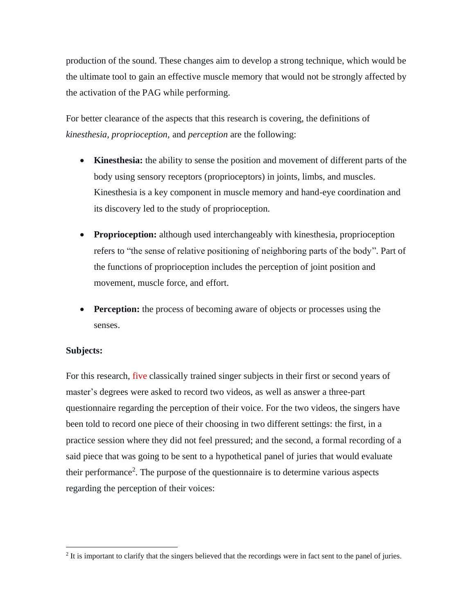production of the sound. These changes aim to develop a strong technique, which would be the ultimate tool to gain an effective muscle memory that would not be strongly affected by the activation of the PAG while performing.

For better clearance of the aspects that this research is covering, the definitions of *kinesthesia, proprioception,* and *perception* are the following:

- **Kinesthesia:** the ability to sense the position and movement of different parts of the body using sensory receptors (proprioceptors) in joints, limbs, and muscles. Kinesthesia is a key component in muscle memory and hand-eye coordination and its discovery led to the study of proprioception.
- **Proprioception:** although used interchangeably with kinesthesia, proprioception refers to "the sense of relative positioning of neighboring parts of the body". Part of the functions of proprioception includes the perception of joint position and movement, muscle force, and effort.
- **Perception:** the process of becoming aware of objects or processes using the senses.

## **Subjects:**

For this research, five classically trained singer subjects in their first or second years of master's degrees were asked to record two videos, as well as answer a three-part questionnaire regarding the perception of their voice. For the two videos, the singers have been told to record one piece of their choosing in two different settings: the first, in a practice session where they did not feel pressured; and the second, a formal recording of a said piece that was going to be sent to a hypothetical panel of juries that would evaluate their performance<sup>2</sup>. The purpose of the questionnaire is to determine various aspects regarding the perception of their voices:

 $2$  It is important to clarify that the singers believed that the recordings were in fact sent to the panel of juries.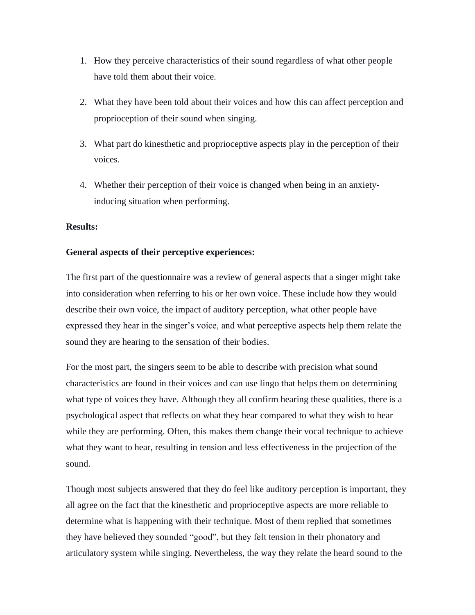- 1. How they perceive characteristics of their sound regardless of what other people have told them about their voice.
- 2. What they have been told about their voices and how this can affect perception and proprioception of their sound when singing.
- 3. What part do kinesthetic and proprioceptive aspects play in the perception of their voices.
- 4. Whether their perception of their voice is changed when being in an anxietyinducing situation when performing.

## **Results:**

## **General aspects of their perceptive experiences:**

The first part of the questionnaire was a review of general aspects that a singer might take into consideration when referring to his or her own voice. These include how they would describe their own voice, the impact of auditory perception, what other people have expressed they hear in the singer's voice, and what perceptive aspects help them relate the sound they are hearing to the sensation of their bodies.

For the most part, the singers seem to be able to describe with precision what sound characteristics are found in their voices and can use lingo that helps them on determining what type of voices they have. Although they all confirm hearing these qualities, there is a psychological aspect that reflects on what they hear compared to what they wish to hear while they are performing. Often, this makes them change their vocal technique to achieve what they want to hear, resulting in tension and less effectiveness in the projection of the sound.

Though most subjects answered that they do feel like auditory perception is important, they all agree on the fact that the kinesthetic and proprioceptive aspects are more reliable to determine what is happening with their technique. Most of them replied that sometimes they have believed they sounded "good", but they felt tension in their phonatory and articulatory system while singing. Nevertheless, the way they relate the heard sound to the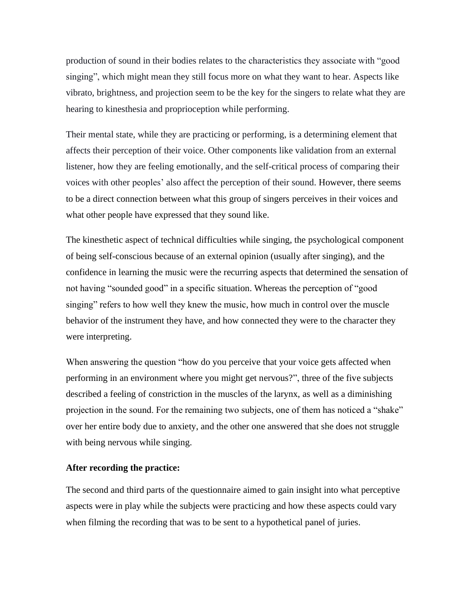production of sound in their bodies relates to the characteristics they associate with "good singing", which might mean they still focus more on what they want to hear. Aspects like vibrato, brightness, and projection seem to be the key for the singers to relate what they are hearing to kinesthesia and proprioception while performing.

Their mental state, while they are practicing or performing, is a determining element that affects their perception of their voice. Other components like validation from an external listener, how they are feeling emotionally, and the self-critical process of comparing their voices with other peoples' also affect the perception of their sound. However, there seems to be a direct connection between what this group of singers perceives in their voices and what other people have expressed that they sound like.

The kinesthetic aspect of technical difficulties while singing, the psychological component of being self-conscious because of an external opinion (usually after singing), and the confidence in learning the music were the recurring aspects that determined the sensation of not having "sounded good" in a specific situation. Whereas the perception of "good singing" refers to how well they knew the music, how much in control over the muscle behavior of the instrument they have, and how connected they were to the character they were interpreting.

When answering the question "how do you perceive that your voice gets affected when performing in an environment where you might get nervous?", three of the five subjects described a feeling of constriction in the muscles of the larynx, as well as a diminishing projection in the sound. For the remaining two subjects, one of them has noticed a "shake" over her entire body due to anxiety, and the other one answered that she does not struggle with being nervous while singing.

### **After recording the practice:**

The second and third parts of the questionnaire aimed to gain insight into what perceptive aspects were in play while the subjects were practicing and how these aspects could vary when filming the recording that was to be sent to a hypothetical panel of juries.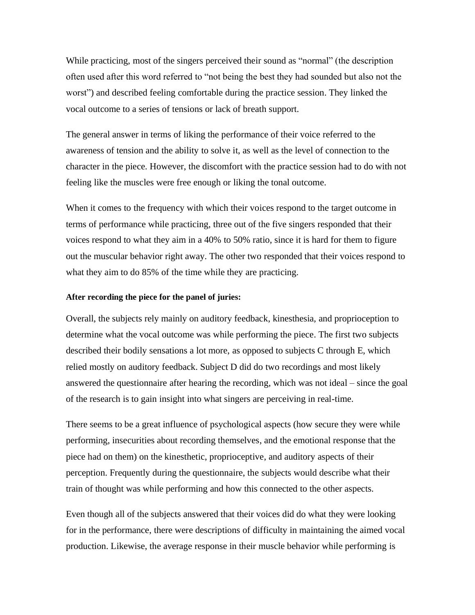While practicing, most of the singers perceived their sound as "normal" (the description often used after this word referred to "not being the best they had sounded but also not the worst") and described feeling comfortable during the practice session. They linked the vocal outcome to a series of tensions or lack of breath support.

The general answer in terms of liking the performance of their voice referred to the awareness of tension and the ability to solve it, as well as the level of connection to the character in the piece. However, the discomfort with the practice session had to do with not feeling like the muscles were free enough or liking the tonal outcome.

When it comes to the frequency with which their voices respond to the target outcome in terms of performance while practicing, three out of the five singers responded that their voices respond to what they aim in a 40% to 50% ratio, since it is hard for them to figure out the muscular behavior right away. The other two responded that their voices respond to what they aim to do 85% of the time while they are practicing.

### **After recording the piece for the panel of juries:**

Overall, the subjects rely mainly on auditory feedback, kinesthesia, and proprioception to determine what the vocal outcome was while performing the piece. The first two subjects described their bodily sensations a lot more, as opposed to subjects C through E, which relied mostly on auditory feedback. Subject D did do two recordings and most likely answered the questionnaire after hearing the recording, which was not ideal – since the goal of the research is to gain insight into what singers are perceiving in real-time.

There seems to be a great influence of psychological aspects (how secure they were while performing, insecurities about recording themselves, and the emotional response that the piece had on them) on the kinesthetic, proprioceptive, and auditory aspects of their perception. Frequently during the questionnaire, the subjects would describe what their train of thought was while performing and how this connected to the other aspects.

Even though all of the subjects answered that their voices did do what they were looking for in the performance, there were descriptions of difficulty in maintaining the aimed vocal production. Likewise, the average response in their muscle behavior while performing is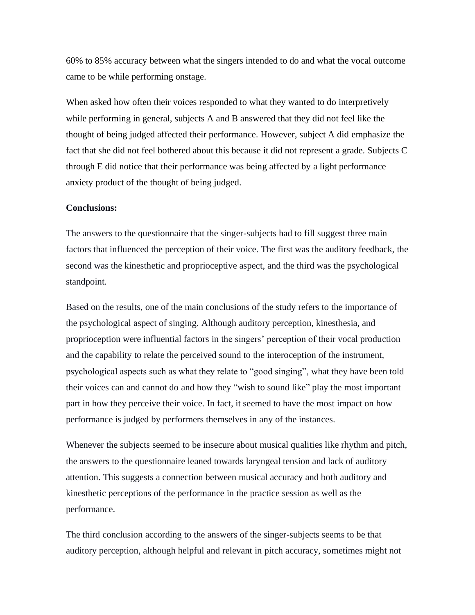60% to 85% accuracy between what the singers intended to do and what the vocal outcome came to be while performing onstage.

When asked how often their voices responded to what they wanted to do interpretively while performing in general, subjects A and B answered that they did not feel like the thought of being judged affected their performance. However, subject A did emphasize the fact that she did not feel bothered about this because it did not represent a grade. Subjects C through E did notice that their performance was being affected by a light performance anxiety product of the thought of being judged.

#### **Conclusions:**

The answers to the questionnaire that the singer-subjects had to fill suggest three main factors that influenced the perception of their voice. The first was the auditory feedback, the second was the kinesthetic and proprioceptive aspect, and the third was the psychological standpoint.

Based on the results, one of the main conclusions of the study refers to the importance of the psychological aspect of singing. Although auditory perception, kinesthesia, and proprioception were influential factors in the singers' perception of their vocal production and the capability to relate the perceived sound to the interoception of the instrument, psychological aspects such as what they relate to "good singing", what they have been told their voices can and cannot do and how they "wish to sound like" play the most important part in how they perceive their voice. In fact, it seemed to have the most impact on how performance is judged by performers themselves in any of the instances.

Whenever the subjects seemed to be insecure about musical qualities like rhythm and pitch, the answers to the questionnaire leaned towards laryngeal tension and lack of auditory attention. This suggests a connection between musical accuracy and both auditory and kinesthetic perceptions of the performance in the practice session as well as the performance.

The third conclusion according to the answers of the singer-subjects seems to be that auditory perception, although helpful and relevant in pitch accuracy, sometimes might not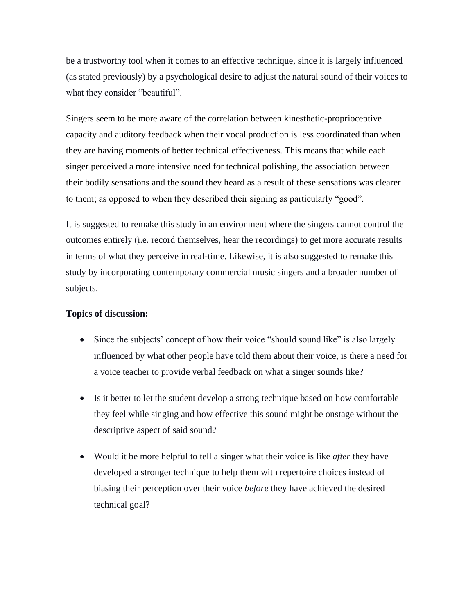be a trustworthy tool when it comes to an effective technique, since it is largely influenced (as stated previously) by a psychological desire to adjust the natural sound of their voices to what they consider "beautiful".

Singers seem to be more aware of the correlation between kinesthetic-proprioceptive capacity and auditory feedback when their vocal production is less coordinated than when they are having moments of better technical effectiveness. This means that while each singer perceived a more intensive need for technical polishing, the association between their bodily sensations and the sound they heard as a result of these sensations was clearer to them; as opposed to when they described their signing as particularly "good".

It is suggested to remake this study in an environment where the singers cannot control the outcomes entirely (i.e. record themselves, hear the recordings) to get more accurate results in terms of what they perceive in real-time. Likewise, it is also suggested to remake this study by incorporating contemporary commercial music singers and a broader number of subjects.

## **Topics of discussion:**

- Since the subjects' concept of how their voice "should sound like" is also largely influenced by what other people have told them about their voice, is there a need for a voice teacher to provide verbal feedback on what a singer sounds like?
- Is it better to let the student develop a strong technique based on how comfortable they feel while singing and how effective this sound might be onstage without the descriptive aspect of said sound?
- Would it be more helpful to tell a singer what their voice is like *after* they have developed a stronger technique to help them with repertoire choices instead of biasing their perception over their voice *before* they have achieved the desired technical goal?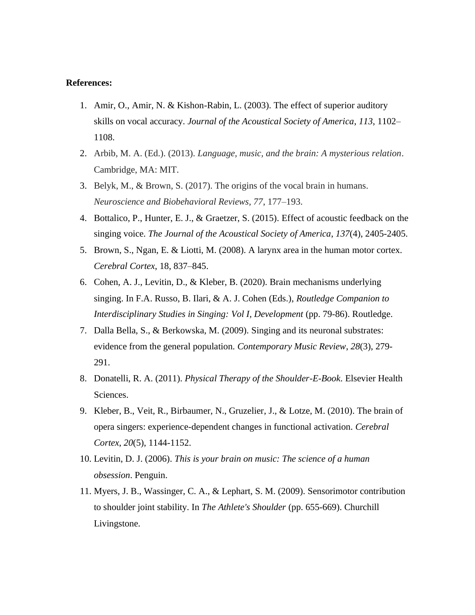### **References:**

- 1. Amir, O., Amir, N. & Kishon-Rabin, L. (2003). The effect of superior auditory skills on vocal accuracy. *Journal of the Acoustical Society of America*, *113*, 1102– 1108.
- 2. Arbib, M. A. (Ed.). (2013). *Language, music, and the brain: A mysterious relation*. Cambridge, MA: MIT.
- 3. Belyk, M., & Brown, S. (2017). The origins of the vocal brain in humans. *Neuroscience and Biobehavioral Reviews, 77*, 177–193.
- 4. Bottalico, P., Hunter, E. J., & Graetzer, S. (2015). Effect of acoustic feedback on the singing voice. *The Journal of the Acoustical Society of America*, *137*(4), 2405-2405.
- 5. Brown, S., Ngan, E. & Liotti, M. (2008). A larynx area in the human motor cortex. *Cerebral Cortex*, 18, 837–845.
- 6. Cohen, A. J., Levitin, D., & Kleber, B. (2020). Brain mechanisms underlying singing. In F.A. Russo, B. Ilari, & A. J. Cohen (Eds.), *Routledge Companion to Interdisciplinary Studies in Singing: Vol I, Development* (pp. 79-86). Routledge.
- 7. Dalla Bella, S., & Berkowska, M. (2009). Singing and its neuronal substrates: evidence from the general population. *Contemporary Music Review*, *28*(3), 279- 291.
- 8. Donatelli, R. A. (2011). *Physical Therapy of the Shoulder-E-Book*. Elsevier Health Sciences.
- 9. Kleber, B., Veit, R., Birbaumer, N., Gruzelier, J., & Lotze, M. (2010). The brain of opera singers: experience-dependent changes in functional activation. *Cerebral Cortex*, *20*(5), 1144-1152.
- 10. Levitin, D. J. (2006). *This is your brain on music: The science of a human obsession*. Penguin.
- 11. Myers, J. B., Wassinger, C. A., & Lephart, S. M. (2009). Sensorimotor contribution to shoulder joint stability. In *The Athlete's Shoulder* (pp. 655-669). Churchill Livingstone.